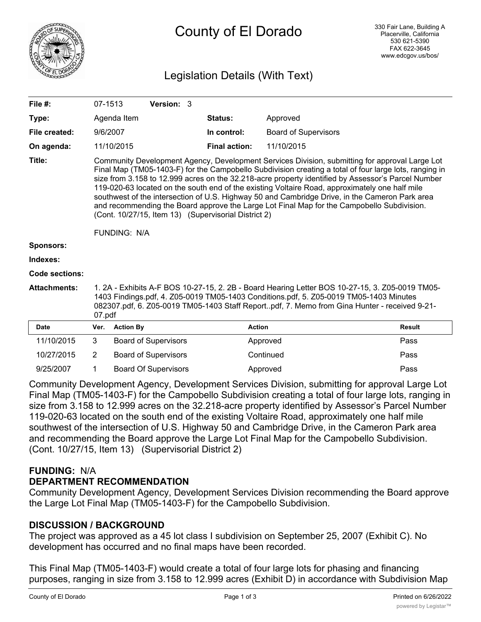

# County of El Dorado

# Legislation Details (With Text)

| File #:             | 07-1513                                                                                                                                                                                                                                                                                                                                                                                                                                                                                                                                                                                                                                                                                         |                  | Version: 3                  |  |                      |                             |               |  |
|---------------------|-------------------------------------------------------------------------------------------------------------------------------------------------------------------------------------------------------------------------------------------------------------------------------------------------------------------------------------------------------------------------------------------------------------------------------------------------------------------------------------------------------------------------------------------------------------------------------------------------------------------------------------------------------------------------------------------------|------------------|-----------------------------|--|----------------------|-----------------------------|---------------|--|
| Type:               |                                                                                                                                                                                                                                                                                                                                                                                                                                                                                                                                                                                                                                                                                                 | Agenda Item      |                             |  | Status:              | Approved                    |               |  |
| File created:       | 9/6/2007                                                                                                                                                                                                                                                                                                                                                                                                                                                                                                                                                                                                                                                                                        |                  |                             |  | In control:          | <b>Board of Supervisors</b> |               |  |
| On agenda:          |                                                                                                                                                                                                                                                                                                                                                                                                                                                                                                                                                                                                                                                                                                 | 11/10/2015       |                             |  | <b>Final action:</b> | 11/10/2015                  |               |  |
| Title:              | Community Development Agency, Development Services Division, submitting for approval Large Lot<br>Final Map (TM05-1403-F) for the Campobello Subdivision creating a total of four large lots, ranging in<br>size from 3.158 to 12.999 acres on the 32.218-acre property identified by Assessor's Parcel Number<br>119-020-63 located on the south end of the existing Voltaire Road, approximately one half mile<br>southwest of the intersection of U.S. Highway 50 and Cambridge Drive, in the Cameron Park area<br>and recommending the Board approve the Large Lot Final Map for the Campobello Subdivision.<br>(Cont. 10/27/15, Item 13) (Supervisorial District 2)<br><b>FUNDING: N/A</b> |                  |                             |  |                      |                             |               |  |
| <b>Sponsors:</b>    |                                                                                                                                                                                                                                                                                                                                                                                                                                                                                                                                                                                                                                                                                                 |                  |                             |  |                      |                             |               |  |
| Indexes:            |                                                                                                                                                                                                                                                                                                                                                                                                                                                                                                                                                                                                                                                                                                 |                  |                             |  |                      |                             |               |  |
| Code sections:      |                                                                                                                                                                                                                                                                                                                                                                                                                                                                                                                                                                                                                                                                                                 |                  |                             |  |                      |                             |               |  |
| <b>Attachments:</b> | 1. 2A - Exhibits A-F BOS 10-27-15, 2. 2B - Board Hearing Letter BOS 10-27-15, 3. Z05-0019 TM05-<br>1403 Findings.pdf, 4. Z05-0019 TM05-1403 Conditions.pdf, 5. Z05-0019 TM05-1403 Minutes<br>082307.pdf, 6. Z05-0019 TM05-1403 Staff Reportpdf, 7. Memo from Gina Hunter - received 9-21-<br>07.pdf                                                                                                                                                                                                                                                                                                                                                                                             |                  |                             |  |                      |                             |               |  |
| Date                | Ver.                                                                                                                                                                                                                                                                                                                                                                                                                                                                                                                                                                                                                                                                                            | <b>Action By</b> |                             |  | <b>Action</b>        |                             | <b>Result</b> |  |
| 11/10/2015          | 3                                                                                                                                                                                                                                                                                                                                                                                                                                                                                                                                                                                                                                                                                               |                  | <b>Board of Supervisors</b> |  |                      | Approved                    | Pass          |  |

| 11/10/2015 | Board of Supervisors        | Approved  | Pass |
|------------|-----------------------------|-----------|------|
| 10/27/2015 | <b>Board of Supervisors</b> | Continued | Pass |
| 9/25/2007  | <b>Board Of Supervisors</b> | Approved  | Pass |

Community Development Agency, Development Services Division, submitting for approval Large Lot Final Map (TM05-1403-F) for the Campobello Subdivision creating a total of four large lots, ranging in size from 3.158 to 12.999 acres on the 32.218-acre property identified by Assessor's Parcel Number 119-020-63 located on the south end of the existing Voltaire Road, approximately one half mile southwest of the intersection of U.S. Highway 50 and Cambridge Drive, in the Cameron Park area and recommending the Board approve the Large Lot Final Map for the Campobello Subdivision. (Cont. 10/27/15, Item 13) (Supervisorial District 2)

## **FUNDING:** N/A

## **DEPARTMENT RECOMMENDATION**

Community Development Agency, Development Services Division recommending the Board approve the Large Lot Final Map (TM05-1403-F) for the Campobello Subdivision.

## **DISCUSSION / BACKGROUND**

The project was approved as a 45 lot class I subdivision on September 25, 2007 (Exhibit C). No development has occurred and no final maps have been recorded.

This Final Map (TM05-1403-F) would create a total of four large lots for phasing and financing purposes, ranging in size from 3.158 to 12.999 acres (Exhibit D) in accordance with Subdivision Map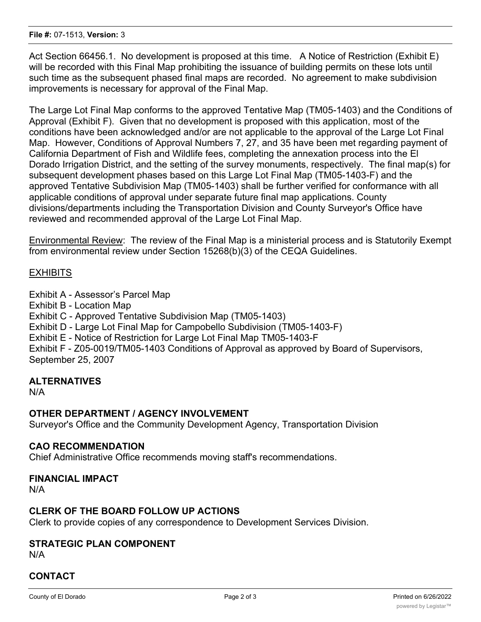Act Section 66456.1. No development is proposed at this time. A Notice of Restriction (Exhibit E) will be recorded with this Final Map prohibiting the issuance of building permits on these lots until such time as the subsequent phased final maps are recorded. No agreement to make subdivision improvements is necessary for approval of the Final Map.

The Large Lot Final Map conforms to the approved Tentative Map (TM05-1403) and the Conditions of Approval (Exhibit F). Given that no development is proposed with this application, most of the conditions have been acknowledged and/or are not applicable to the approval of the Large Lot Final Map. However, Conditions of Approval Numbers 7, 27, and 35 have been met regarding payment of California Department of Fish and Wildlife fees, completing the annexation process into the El Dorado Irrigation District, and the setting of the survey monuments, respectively. The final map(s) for subsequent development phases based on this Large Lot Final Map (TM05-1403-F) and the approved Tentative Subdivision Map (TM05-1403) shall be further verified for conformance with all applicable conditions of approval under separate future final map applications. County divisions/departments including the Transportation Division and County Surveyor's Office have reviewed and recommended approval of the Large Lot Final Map.

Environmental Review: The review of the Final Map is a ministerial process and is Statutorily Exempt from environmental review under Section 15268(b)(3) of the CEQA Guidelines.

## **EXHIBITS**

Exhibit A - Assessor's Parcel Map

Exhibit B - Location Map

Exhibit C - Approved Tentative Subdivision Map (TM05-1403)

Exhibit D - Large Lot Final Map for Campobello Subdivision (TM05-1403-F)

Exhibit E - Notice of Restriction for Large Lot Final Map TM05-1403-F

Exhibit F - Z05-0019/TM05-1403 Conditions of Approval as approved by Board of Supervisors, September 25, 2007

## **ALTERNATIVES**

N/A

## **OTHER DEPARTMENT / AGENCY INVOLVEMENT**

Surveyor's Office and the Community Development Agency, Transportation Division

#### **CAO RECOMMENDATION**

Chief Administrative Office recommends moving staff's recommendations.

#### **FINANCIAL IMPACT**

N/A

## **CLERK OF THE BOARD FOLLOW UP ACTIONS**

Clerk to provide copies of any correspondence to Development Services Division.

## **STRATEGIC PLAN COMPONENT**

N/A

## **CONTACT**